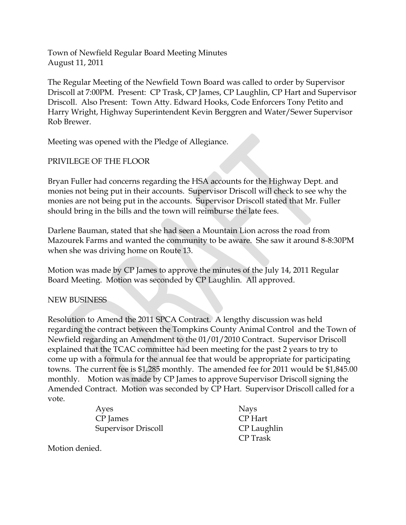Town of Newfield Regular Board Meeting Minutes August 11, 2011

The Regular Meeting of the Newfield Town Board was called to order by Supervisor Driscoll at 7:00PM. Present: CP Trask, CP James, CP Laughlin, CP Hart and Supervisor Driscoll. Also Present: Town Atty. Edward Hooks, Code Enforcers Tony Petito and Harry Wright, Highway Superintendent Kevin Berggren and Water/Sewer Supervisor Rob Brewer.

Meeting was opened with the Pledge of Allegiance.

## PRIVILEGE OF THE FLOOR

Bryan Fuller had concerns regarding the HSA accounts for the Highway Dept. and monies not being put in their accounts. Supervisor Driscoll will check to see why the monies are not being put in the accounts. Supervisor Driscoll stated that Mr. Fuller should bring in the bills and the town will reimburse the late fees.

Darlene Bauman, stated that she had seen a Mountain Lion across the road from Mazourek Farms and wanted the community to be aware. She saw it around 8-8:30PM when she was driving home on Route 13.

Motion was made by CP James to approve the minutes of the July 14, 2011 Regular Board Meeting. Motion was seconded by CP Laughlin. All approved.

#### NEW BUSINESS

Resolution to Amend the 2011 SPCA Contract. A lengthy discussion was held regarding the contract between the Tompkins County Animal Control and the Town of Newfield regarding an Amendment to the 01/01/2010 Contract. Supervisor Driscoll explained that the TCAC committee had been meeting for the past 2 years to try to come up with a formula for the annual fee that would be appropriate for participating towns. The current fee is \$1,285 monthly. The amended fee for 2011 would be \$1,845.00 monthly. Motion was made by CP James to approve Supervisor Driscoll signing the Amended Contract. Motion was seconded by CP Hart. Supervisor Driscoll called for a vote.

> Ayes Nays CP James CP Hart Supervisor Driscoll **CP Laughlin**

CP Trask

Motion denied.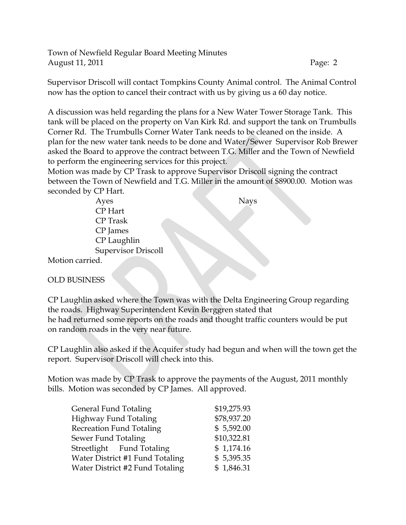Town of Newfield Regular Board Meeting Minutes August 11, 2011 **Page: 2** 

Supervisor Driscoll will contact Tompkins County Animal control. The Animal Control now has the option to cancel their contract with us by giving us a 60 day notice.

A discussion was held regarding the plans for a New Water Tower Storage Tank. This tank will be placed on the property on Van Kirk Rd. and support the tank on Trumbulls Corner Rd. The Trumbulls Corner Water Tank needs to be cleaned on the inside. A plan for the new water tank needs to be done and Water/Sewer Supervisor Rob Brewer asked the Board to approve the contract between T.G. Miller and the Town of Newfield to perform the engineering services for this project.

Motion was made by CP Trask to approve Supervisor Driscoll signing the contract between the Town of Newfield and T.G. Miller in the amount of \$8900.00. Motion was seconded by CP Hart.

| Ayes                       | <b>Nays</b> |
|----------------------------|-------------|
| CP Hart                    |             |
| <b>CP</b> Trask            |             |
| CP James                   |             |
| CP Laughlin                |             |
| <b>Supervisor Driscoll</b> |             |
| arried:                    |             |

Motion carried.

#### OLD BUSINESS

CP Laughlin asked where the Town was with the Delta Engineering Group regarding the roads. Highway Superintendent Kevin Berggren stated that he had returned some reports on the roads and thought traffic counters would be put on random roads in the very near future.

CP Laughlin also asked if the Acquifer study had begun and when will the town get the report. Supervisor Driscoll will check into this.

Motion was made by CP Trask to approve the payments of the August, 2011 monthly bills. Motion was seconded by CP James. All approved.

| \$19,275.93 |
|-------------|
| \$78,937.20 |
| \$5,592.00  |
| \$10,322.81 |
| \$1,174.16  |
| \$5,395.35  |
| \$1,846.31  |
|             |